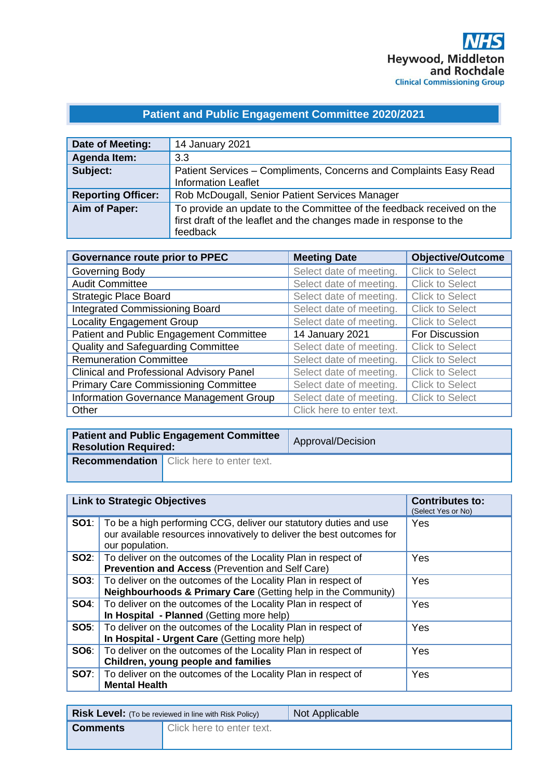#### **Patient and Public Engagement Committee 2020/2021**

| Date of Meeting:          | 14 January 2021                                                                                                                                         |
|---------------------------|---------------------------------------------------------------------------------------------------------------------------------------------------------|
| <b>Agenda Item:</b>       | 3.3                                                                                                                                                     |
| Subject:                  | Patient Services – Compliments, Concerns and Complaints Easy Read<br><b>Information Leaflet</b>                                                         |
| <b>Reporting Officer:</b> | Rob McDougall, Senior Patient Services Manager                                                                                                          |
| Aim of Paper:             | To provide an update to the Committee of the feedback received on the<br>first draft of the leaflet and the changes made in response to the<br>feedback |

| <b>Governance route prior to PPEC</b>           | <b>Meeting Date</b>       | <b>Objective/Outcome</b> |
|-------------------------------------------------|---------------------------|--------------------------|
| Governing Body                                  | Select date of meeting.   | <b>Click to Select</b>   |
| <b>Audit Committee</b>                          | Select date of meeting.   | <b>Click to Select</b>   |
| <b>Strategic Place Board</b>                    | Select date of meeting.   | <b>Click to Select</b>   |
| Integrated Commissioning Board                  | Select date of meeting.   | <b>Click to Select</b>   |
| <b>Locality Engagement Group</b>                | Select date of meeting.   | <b>Click to Select</b>   |
| Patient and Public Engagement Committee         | 14 January 2021           | For Discussion           |
| Quality and Safeguarding Committee              | Select date of meeting.   | <b>Click to Select</b>   |
| <b>Remuneration Committee</b>                   | Select date of meeting.   | <b>Click to Select</b>   |
| <b>Clinical and Professional Advisory Panel</b> | Select date of meeting.   | <b>Click to Select</b>   |
| <b>Primary Care Commissioning Committee</b>     | Select date of meeting.   | <b>Click to Select</b>   |
| Information Governance Management Group         | Select date of meeting.   | <b>Click to Select</b>   |
| Other                                           | Click here to enter text. |                          |

| <b>Patient and Public Engagement Committee</b><br><b>Resolution Required:</b> |  | Approval/Decision |
|-------------------------------------------------------------------------------|--|-------------------|
| <b>Recommendation</b> Click here to enter text.                               |  |                   |

|             | <b>Link to Strategic Objectives</b>                                                                                                                           | <b>Contributes to:</b><br>(Select Yes or No) |
|-------------|---------------------------------------------------------------------------------------------------------------------------------------------------------------|----------------------------------------------|
| SO1:        | To be a high performing CCG, deliver our statutory duties and use<br>our available resources innovatively to deliver the best outcomes for<br>our population. | Yes                                          |
| SO2:        | To deliver on the outcomes of the Locality Plan in respect of<br><b>Prevention and Access (Prevention and Self Care)</b>                                      | Yes                                          |
| SO3:        | To deliver on the outcomes of the Locality Plan in respect of<br><b>Neighbourhoods &amp; Primary Care (Getting help in the Community)</b>                     | Yes                                          |
| <b>SO4:</b> | To deliver on the outcomes of the Locality Plan in respect of<br>In Hospital - Planned (Getting more help)                                                    | Yes                                          |
| <b>SO5:</b> | To deliver on the outcomes of the Locality Plan in respect of<br>In Hospital - Urgent Care (Getting more help)                                                | Yes                                          |
| SO6:        | To deliver on the outcomes of the Locality Plan in respect of<br>Children, young people and families                                                          | Yes                                          |
| <b>SO7:</b> | To deliver on the outcomes of the Locality Plan in respect of<br><b>Mental Health</b>                                                                         | Yes                                          |

|                 | <b>Risk Level:</b> (To be reviewed in line with Risk Policy) | <b>Not Applicable</b> |
|-----------------|--------------------------------------------------------------|-----------------------|
| <b>Comments</b> | Click here to enter text.                                    |                       |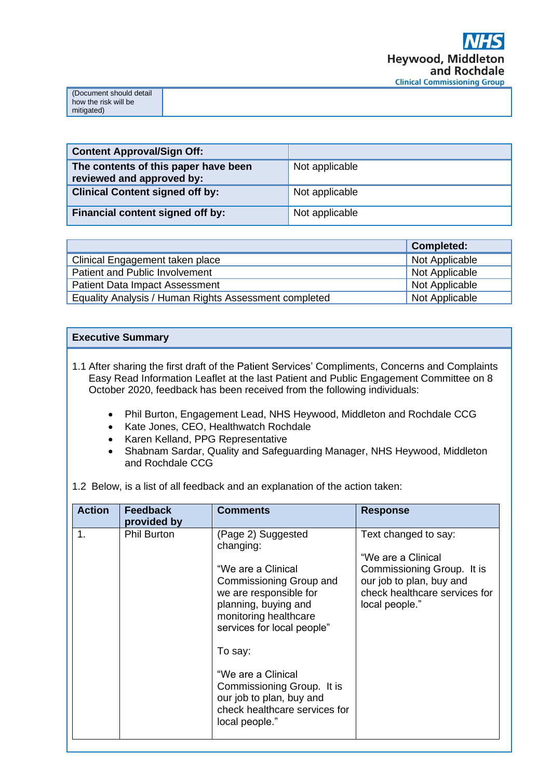| (Document should detail |
|-------------------------|
|                         |
| I how the risk will be  |
|                         |
| mitigated)              |

| <b>Content Approval/Sign Off:</b>                                 |                |
|-------------------------------------------------------------------|----------------|
| The contents of this paper have been<br>reviewed and approved by: | Not applicable |
| <b>Clinical Content signed off by:</b>                            | Not applicable |
| <b>Financial content signed off by:</b>                           | Not applicable |

|                                                       | <b>Completed:</b> |
|-------------------------------------------------------|-------------------|
| Clinical Engagement taken place                       | Not Applicable    |
| Patient and Public Involvement                        | Not Applicable    |
| <b>Patient Data Impact Assessment</b>                 | Not Applicable    |
| Equality Analysis / Human Rights Assessment completed | Not Applicable    |

#### **Executive Summary**

1.1 After sharing the first draft of the Patient Services' Compliments, Concerns and Complaints Easy Read Information Leaflet at the last Patient and Public Engagement Committee on 8 October 2020, feedback has been received from the following individuals:

- Phil Burton, Engagement Lead, NHS Heywood, Middleton and Rochdale CCG
- Kate Jones, CEO, Healthwatch Rochdale
- Karen Kelland, PPG Representative
- Shabnam Sardar, Quality and Safeguarding Manager, NHS Heywood, Middleton and Rochdale CCG
- 1.2 Below, is a list of all feedback and an explanation of the action taken:

| <b>Action</b> | <b>Feedback</b><br>provided by | <b>Comments</b>                                                                                                                                                                                                                                                                                                                         | <b>Response</b>                                                                                                                                         |
|---------------|--------------------------------|-----------------------------------------------------------------------------------------------------------------------------------------------------------------------------------------------------------------------------------------------------------------------------------------------------------------------------------------|---------------------------------------------------------------------------------------------------------------------------------------------------------|
| 1.            | <b>Phil Burton</b>             | (Page 2) Suggested<br>changing:<br>"We are a Clinical<br>Commissioning Group and<br>we are responsible for<br>planning, buying and<br>monitoring healthcare<br>services for local people"<br>To say:<br>"We are a Clinical<br>Commissioning Group. It is<br>our job to plan, buy and<br>check healthcare services for<br>local people." | Text changed to say:<br>"We are a Clinical<br>Commissioning Group. It is<br>our job to plan, buy and<br>check healthcare services for<br>local people." |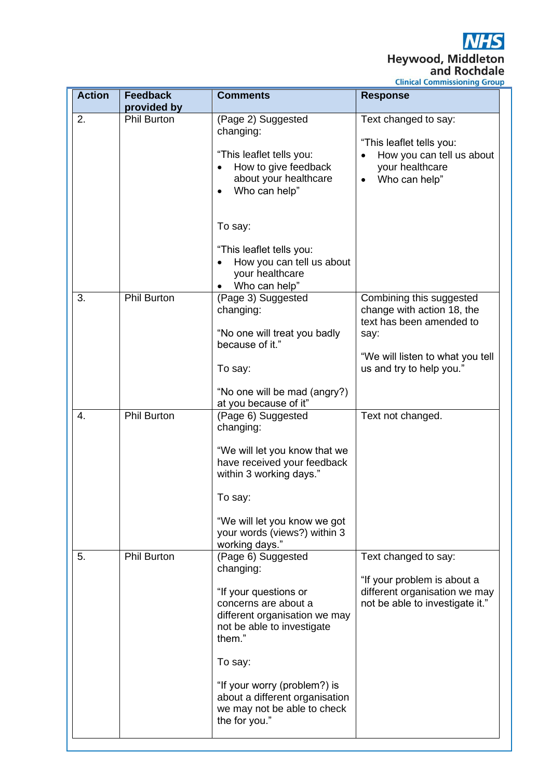**NHS** Heywood, Middleton<br>and Rochdale<br>Clinical Commissioning Group

| <b>Action</b> | <b>Feedback</b><br>provided by | <b>Comments</b>                                                                                                                                                                                                                                                                        | <b>Response</b>                                                                                                                                            |
|---------------|--------------------------------|----------------------------------------------------------------------------------------------------------------------------------------------------------------------------------------------------------------------------------------------------------------------------------------|------------------------------------------------------------------------------------------------------------------------------------------------------------|
| 2.            | <b>Phil Burton</b>             | (Page 2) Suggested<br>changing:<br>"This leaflet tells you:<br>How to give feedback<br>$\bullet$<br>about your healthcare<br>Who can help"<br>$\bullet$                                                                                                                                | Text changed to say:<br>"This leaflet tells you:<br>How you can tell us about<br>$\bullet$<br>your healthcare<br>Who can help"<br>$\bullet$                |
|               |                                | To say:<br>"This leaflet tells you:<br>How you can tell us about<br>$\bullet$<br>your healthcare<br>Who can help"                                                                                                                                                                      |                                                                                                                                                            |
| 3.            | Phil Burton                    | (Page 3) Suggested<br>changing:<br>"No one will treat you badly<br>because of it."<br>To say:<br>"No one will be mad (angry?)                                                                                                                                                          | Combining this suggested<br>change with action 18, the<br>text has been amended to<br>say:<br>"We will listen to what you tell<br>us and try to help you." |
| 4.            | <b>Phil Burton</b>             | at you because of it"<br>(Page 6) Suggested<br>changing:<br>"We will let you know that we<br>have received your feedback<br>within 3 working days."<br>To say:<br>"We will let you know we got<br>your words (views?) within 3<br>working days."                                       | Text not changed.                                                                                                                                          |
| 5.            | <b>Phil Burton</b>             | (Page 6) Suggested<br>changing:<br>"If your questions or<br>concerns are about a<br>different organisation we may<br>not be able to investigate<br>them."<br>To say:<br>"If your worry (problem?) is<br>about a different organisation<br>we may not be able to check<br>the for you." | Text changed to say:<br>"If your problem is about a<br>different organisation we may<br>not be able to investigate it."                                    |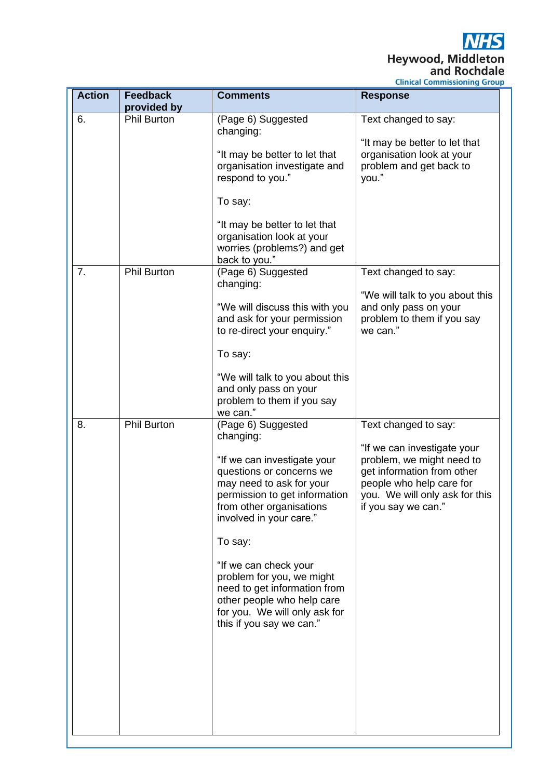**NHS** Heywood, Middleton<br>and Rochdale

**Clinical Commissioning Group** 

| <b>Action</b> | <b>Feedback</b><br>provided by | <b>Comments</b>                                                                                                                                                                                                                                                                                                                                                                                                                                                                                                  | <b>Response</b>                                                                                                                                                                                     |
|---------------|--------------------------------|------------------------------------------------------------------------------------------------------------------------------------------------------------------------------------------------------------------------------------------------------------------------------------------------------------------------------------------------------------------------------------------------------------------------------------------------------------------------------------------------------------------|-----------------------------------------------------------------------------------------------------------------------------------------------------------------------------------------------------|
| 6.            | <b>Phil Burton</b>             | (Page 6) Suggested<br>changing:<br>"It may be better to let that<br>organisation investigate and<br>respond to you."<br>To say:<br>"It may be better to let that<br>organisation look at your<br>worries (problems?) and get                                                                                                                                                                                                                                                                                     | Text changed to say:<br>"It may be better to let that<br>organisation look at your<br>problem and get back to<br>you."                                                                              |
| 7.            | <b>Phil Burton</b>             | back to you."<br>(Page 6) Suggested<br>changing:<br>"We will discuss this with you<br>and ask for your permission<br>to re-direct your enquiry."<br>To say:                                                                                                                                                                                                                                                                                                                                                      | Text changed to say:<br>"We will talk to you about this<br>and only pass on your<br>problem to them if you say<br>we can."                                                                          |
| 8.            | <b>Phil Burton</b>             | "We will talk to you about this<br>and only pass on your<br>problem to them if you say<br>we can."<br>(Page 6) Suggested<br>changing:<br>"If we can investigate your<br>questions or concerns we<br>may need to ask for your<br>permission to get information<br>from other organisations<br>involved in your care."<br>To say:<br>"If we can check your<br>problem for you, we might<br>need to get information from<br>other people who help care<br>for you. We will only ask for<br>this if you say we can." | Text changed to say:<br>"If we can investigate your<br>problem, we might need to<br>get information from other<br>people who help care for<br>you. We will only ask for this<br>if you say we can." |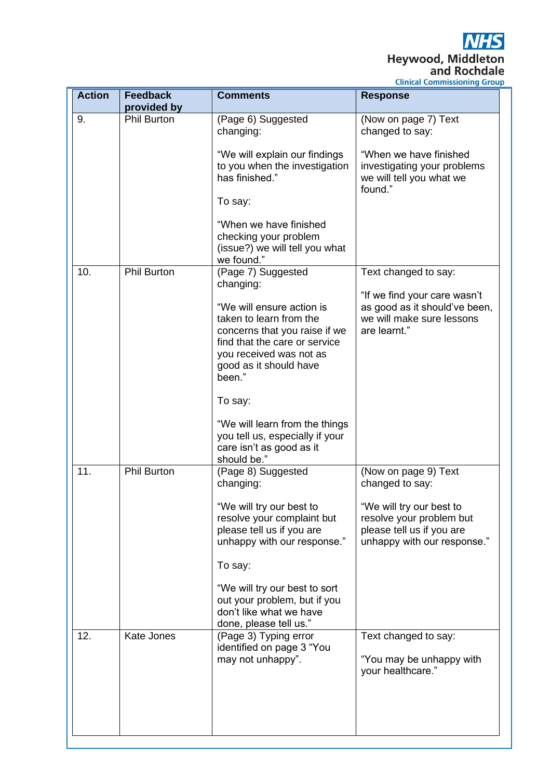**NHS** Heywood, Middleton<br>and Rochdale

**Clinical Commissioning Group** 

| <b>Action</b> | <b>Feedback</b><br>provided by | <b>Comments</b>                                                                                                                                                                                    | <b>Response</b>                                                                                                                                             |
|---------------|--------------------------------|----------------------------------------------------------------------------------------------------------------------------------------------------------------------------------------------------|-------------------------------------------------------------------------------------------------------------------------------------------------------------|
| 9.            | <b>Phil Burton</b>             | (Page 6) Suggested<br>changing:<br>"We will explain our findings<br>to you when the investigation<br>has finished."                                                                                | (Now on page 7) Text<br>changed to say:<br>"When we have finished<br>investigating your problems<br>we will tell you what we                                |
|               |                                | To say:<br>"When we have finished<br>checking your problem<br>(issue?) we will tell you what                                                                                                       | found."                                                                                                                                                     |
| 10.           | <b>Phil Burton</b>             | we found."<br>(Page 7) Suggested                                                                                                                                                                   | Text changed to say:                                                                                                                                        |
|               |                                | changing:<br>"We will ensure action is<br>taken to learn from the<br>concerns that you raise if we<br>find that the care or service<br>you received was not as<br>good as it should have<br>been." | "If we find your care wasn't<br>as good as it should've been,<br>we will make sure lessons<br>are learnt."                                                  |
|               |                                | To say:<br>"We will learn from the things<br>you tell us, especially if your<br>care isn't as good as it<br>should be."                                                                            |                                                                                                                                                             |
| 11.           | <b>Phil Burton</b>             | (Page 8) Suggested<br>changing:<br>"We will try our best to<br>resolve your complaint but<br>please tell us if you are<br>unhappy with our response."<br>To say:<br>"We will try our best to sort  | (Now on page 9) Text<br>changed to say:<br>"We will try our best to<br>resolve your problem but<br>please tell us if you are<br>unhappy with our response." |
| 12.           | <b>Kate Jones</b>              | out your problem, but if you<br>don't like what we have<br>done, please tell us."<br>(Page 3) Typing error<br>identified on page 3 "You<br>may not unhappy".                                       | Text changed to say:<br>"You may be unhappy with<br>your healthcare."                                                                                       |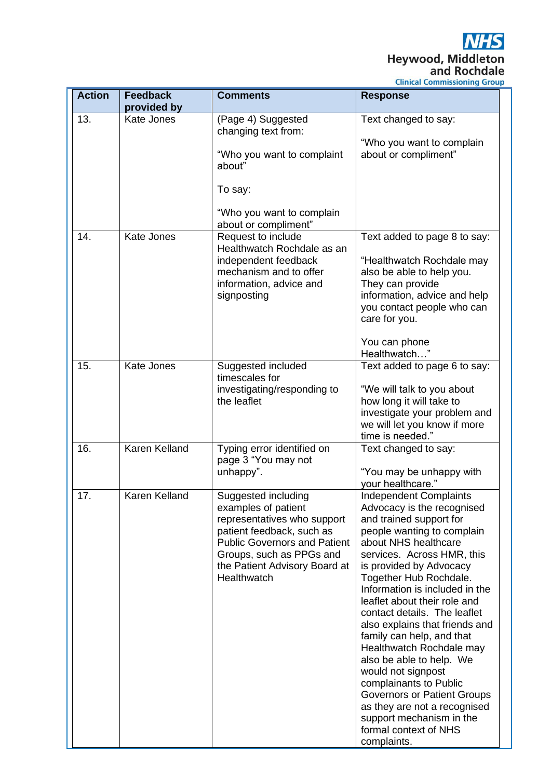**NHS** Heywood, Middleton<br>and Rochdale

**Clinical Commissioning Group** 

| <b>Action</b> | <b>Feedback</b>      | <b>Comments</b>                                                                                                                                                                                                           | <b>Response</b>                                                                                                                                                                                                                                                                                                                                                                                                                                                                                                                                                                                                                             |
|---------------|----------------------|---------------------------------------------------------------------------------------------------------------------------------------------------------------------------------------------------------------------------|---------------------------------------------------------------------------------------------------------------------------------------------------------------------------------------------------------------------------------------------------------------------------------------------------------------------------------------------------------------------------------------------------------------------------------------------------------------------------------------------------------------------------------------------------------------------------------------------------------------------------------------------|
|               | provided by          |                                                                                                                                                                                                                           |                                                                                                                                                                                                                                                                                                                                                                                                                                                                                                                                                                                                                                             |
| 13.           | Kate Jones           | (Page 4) Suggested<br>changing text from:                                                                                                                                                                                 | Text changed to say:                                                                                                                                                                                                                                                                                                                                                                                                                                                                                                                                                                                                                        |
|               |                      | "Who you want to complaint<br>about"                                                                                                                                                                                      | "Who you want to complain<br>about or compliment"                                                                                                                                                                                                                                                                                                                                                                                                                                                                                                                                                                                           |
|               |                      | To say:                                                                                                                                                                                                                   |                                                                                                                                                                                                                                                                                                                                                                                                                                                                                                                                                                                                                                             |
|               |                      | "Who you want to complain<br>about or compliment"                                                                                                                                                                         |                                                                                                                                                                                                                                                                                                                                                                                                                                                                                                                                                                                                                                             |
| 14.           | <b>Kate Jones</b>    | Request to include<br>Healthwatch Rochdale as an<br>independent feedback<br>mechanism and to offer<br>information, advice and<br>signposting                                                                              | Text added to page 8 to say:<br>"Healthwatch Rochdale may<br>also be able to help you.<br>They can provide<br>information, advice and help                                                                                                                                                                                                                                                                                                                                                                                                                                                                                                  |
|               |                      |                                                                                                                                                                                                                           | you contact people who can<br>care for you.<br>You can phone<br>Healthwatch"                                                                                                                                                                                                                                                                                                                                                                                                                                                                                                                                                                |
| 15.           | <b>Kate Jones</b>    | Suggested included<br>timescales for<br>investigating/responding to<br>the leaflet                                                                                                                                        | Text added to page 6 to say:<br>"We will talk to you about<br>how long it will take to<br>investigate your problem and                                                                                                                                                                                                                                                                                                                                                                                                                                                                                                                      |
|               |                      |                                                                                                                                                                                                                           | we will let you know if more<br>time is needed."                                                                                                                                                                                                                                                                                                                                                                                                                                                                                                                                                                                            |
| 16.           | <b>Karen Kelland</b> | Typing error identified on<br>page 3 "You may not<br>unhappy".                                                                                                                                                            | Text changed to say:<br>"You may be unhappy with<br>your healthcare."                                                                                                                                                                                                                                                                                                                                                                                                                                                                                                                                                                       |
| 17.           | Karen Kelland        | Suggested including<br>examples of patient<br>representatives who support<br>patient feedback, such as<br><b>Public Governors and Patient</b><br>Groups, such as PPGs and<br>the Patient Advisory Board at<br>Healthwatch | <b>Independent Complaints</b><br>Advocacy is the recognised<br>and trained support for<br>people wanting to complain<br>about NHS healthcare<br>services. Across HMR, this<br>is provided by Advocacy<br>Together Hub Rochdale.<br>Information is included in the<br>leaflet about their role and<br>contact details. The leaflet<br>also explains that friends and<br>family can help, and that<br>Healthwatch Rochdale may<br>also be able to help. We<br>would not signpost<br>complainants to Public<br>Governors or Patient Groups<br>as they are not a recognised<br>support mechanism in the<br>formal context of NHS<br>complaints. |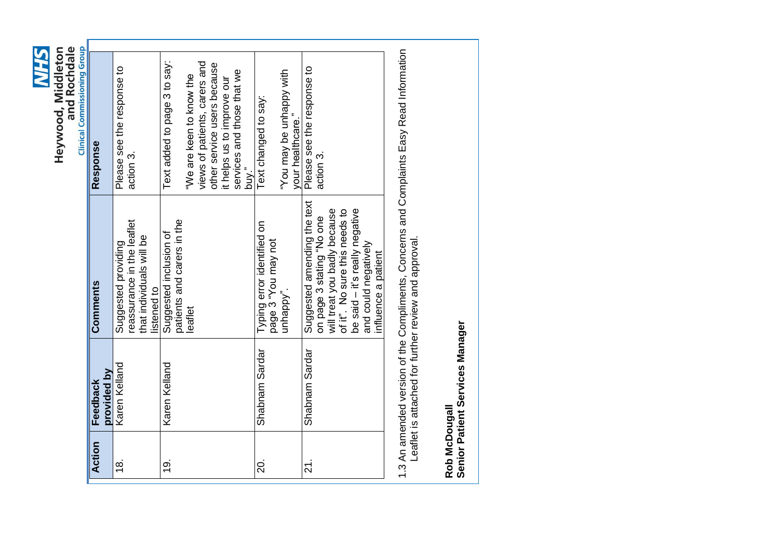**SH/N** Heywood, Middleton<br>and Rochdale

|                          |                         |                                                                                                                                                | <b>Clinical Commissioning Group</b>                                                      |  |
|--------------------------|-------------------------|------------------------------------------------------------------------------------------------------------------------------------------------|------------------------------------------------------------------------------------------|--|
| Action                   | provided by<br>Feedback | Comments                                                                                                                                       | Response                                                                                 |  |
| $\frac{8}{1}$            | Karen Kelland           | reassurance in the leaflet<br>that individuals will be<br>Suggested providing<br>listened to                                                   | Please see the response to<br>action 3.                                                  |  |
| <u>ဇ</u>                 | Karen Kelland           | patients and carers in the<br>Suggested inclusion of                                                                                           | Text added to page 3 to say:                                                             |  |
|                          |                         | eaflet                                                                                                                                         | "We are keen to know the                                                                 |  |
|                          |                         |                                                                                                                                                | views of patients, carers and<br>other service users because                             |  |
|                          |                         |                                                                                                                                                | it helps us to improve our                                                               |  |
|                          |                         |                                                                                                                                                | services and those that we<br>buy."                                                      |  |
| $\overline{5}$           | Shabnam Sardar          | Typing error identified on<br>page 3 "You may not                                                                                              | Text changed to say:                                                                     |  |
|                          |                         | unhappy".                                                                                                                                      | with wappy with<br>your healthcare."                                                     |  |
| $\overline{\mathcal{N}}$ | Shabnam Sardar          | Suggested amending the text<br>on page 3 stating "No one                                                                                       | Please see the response to<br>action 3.                                                  |  |
|                          |                         | will treat you badly because<br>be said - it's really negative<br>of it". No sure this needs to<br>and could negatively<br>influence a patient |                                                                                          |  |
|                          |                         | Leaflet is attached for further review and approval.                                                                                           | 1.3 An amended version of the Compliments, Concerns and Complaints Easy Read Information |  |

Rob McDougall<br>Senior Patient Services Manager **Senior Patient Services ManagerRob McDougall**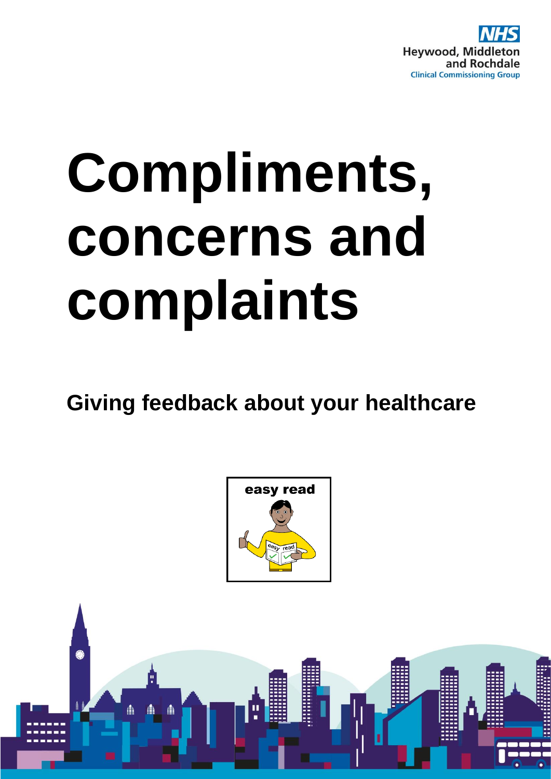

# **Compliments, concerns and complaints**

**Giving feedback about your healthcare**



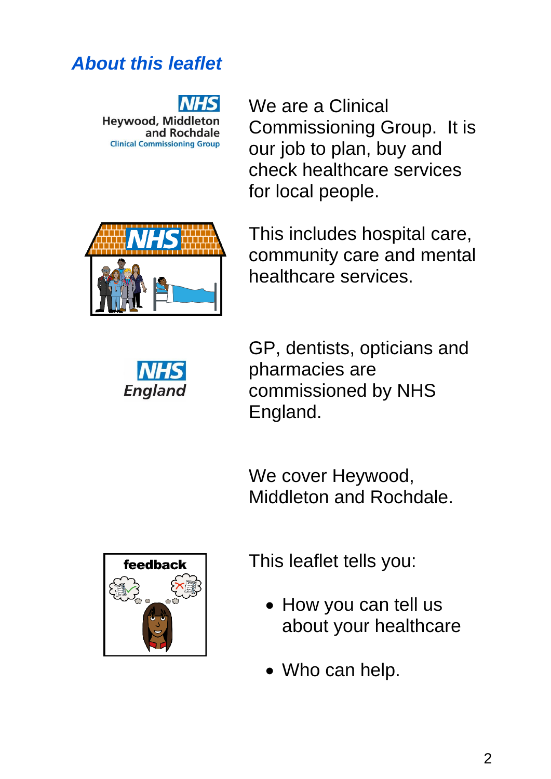#### 2

*About this leaflet*

**Heywood, Middleton** and Rochdale **Clinical Commissioning Group** 

We are a Clinical Commissioning Group. It is our job to plan, buy and check healthcare services for local people.



This includes hospital care, community care and mental healthcare services.



GP, dentists, opticians and pharmacies are commissioned by NHS England.

We cover Heywood, Middleton and Rochdale.



This leaflet tells you:

- How you can tell us about your healthcare
- Who can help.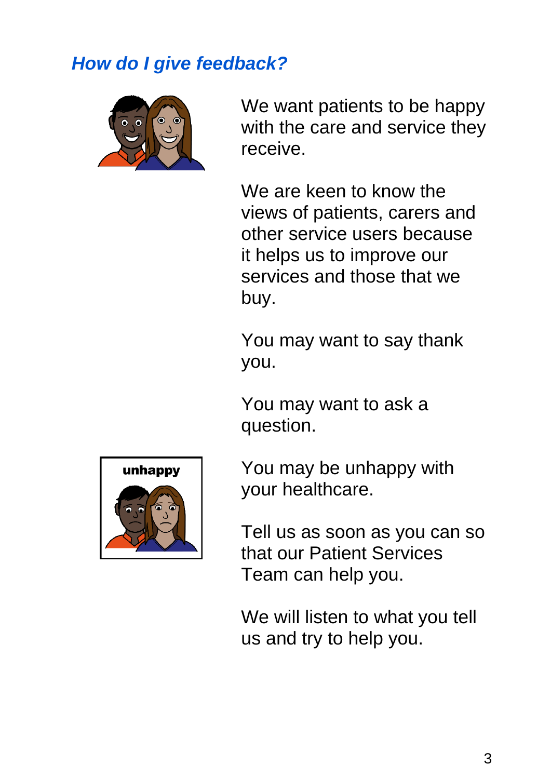## *How do I give feedback?*



We want patients to be happy with the care and service they receive.

We are keen to know the views of patients, carers and other service users because it helps us to improve our services and those that we buy.

You may want to say thank you.

You may want to ask a question.



You may be unhappy with your healthcare.

Tell us as soon as you can so that our Patient Services Team can help you.

We will listen to what you tell us and try to help you.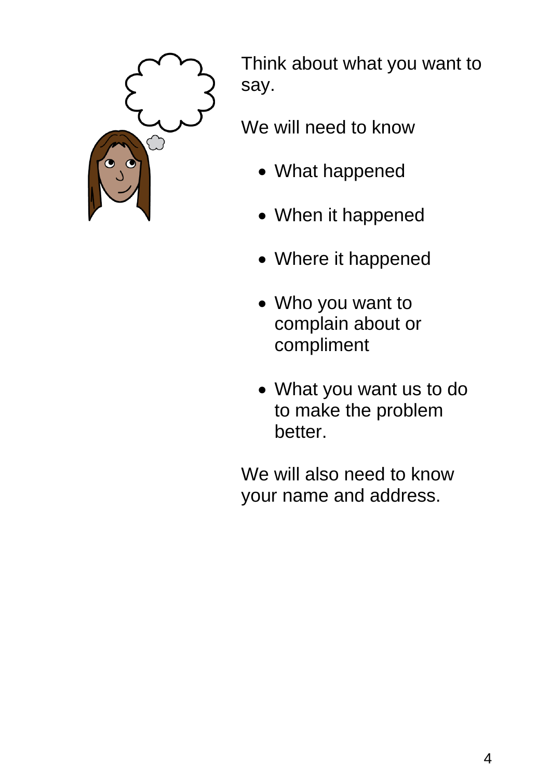

Think about what you want to say.

We will need to know

- What happened
- When it happened
- Where it happened
- Who you want to complain about or compliment
- What you want us to do to make the problem better.

We will also need to know your name and address.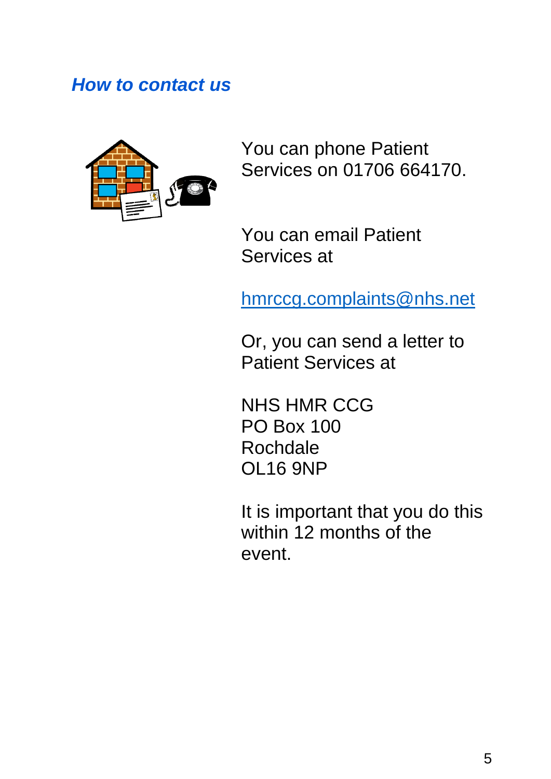#### *How to contact us*



You can phone Patient Services on 01706 664170.

You can email Patient Services at

[hmrccg.complaints@nhs.net](mailto:hmrccg.complaints@nhs.net)

Or, you can send a letter to Patient Services at

NHS HMR CCG PO Box 100 **Rochdale** OL16 9NP

It is important that you do this within 12 months of the event.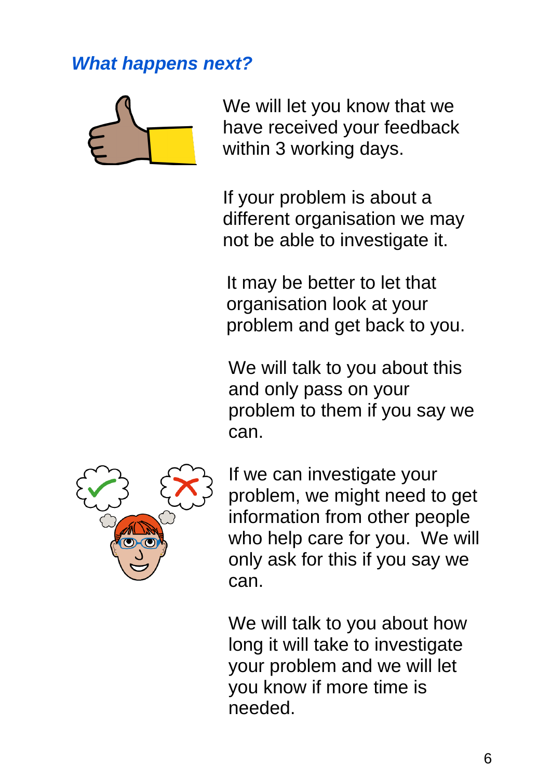# *What happens next?*



We will let you know that we have received your feedback within 3 working days.

If your problem is about a different organisation we may not be able to investigate it.

It may be better to let that organisation look at your problem and get back to you.

We will talk to you about this and only pass on your problem to them if you say we can.



If we can investigate your problem, we might need to get information from other people who help care for you. We will only ask for this if you say we can.

We will talk to you about how long it will take to investigate your problem and we will let you know if more time is needed.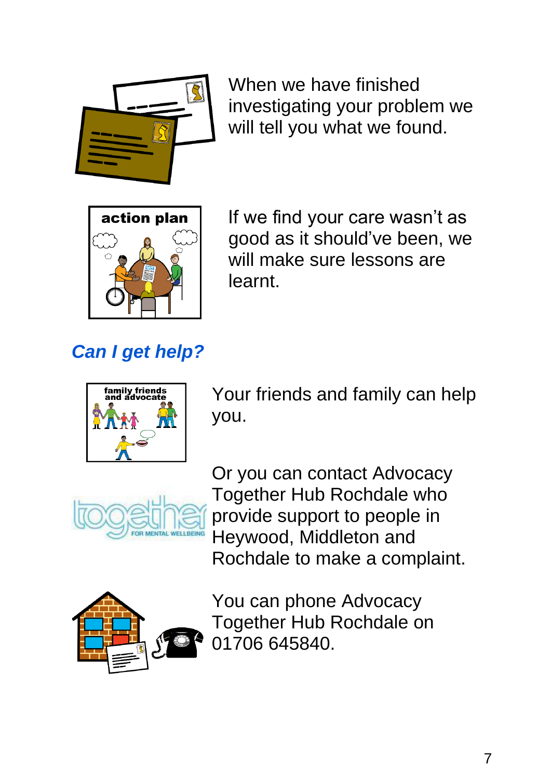

When we have finished investigating your problem we will tell you what we found.



If we find your care wasn't as good as it should've been, we will make sure lessons are **learnt** 

# *Can I get help?*



Your friends and family can help you.



Or you can contact Advocacy Together Hub Rochdale who provide support to people in Heywood, Middleton and Rochdale to make a complaint.



You can phone Advocacy Together Hub Rochdale on 01706 645840.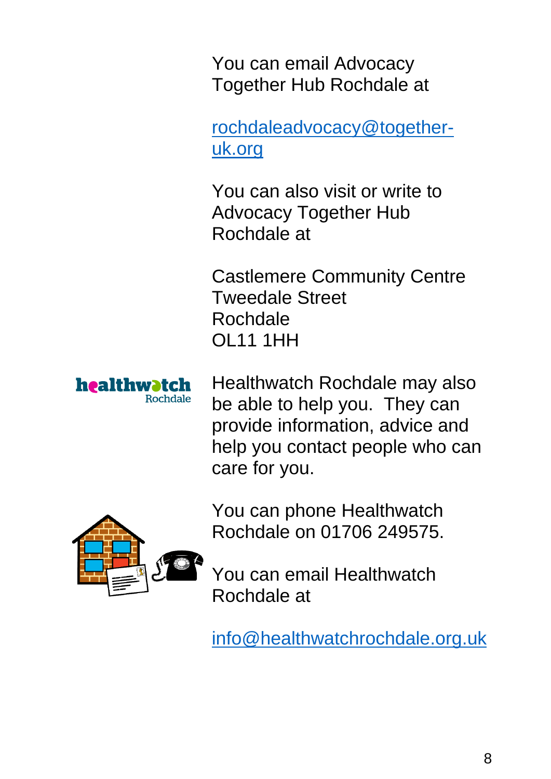You can email Advocacy Together Hub Rochdale at

[rochdaleadvocacy@together](mailto:rochdaleadvocacy@together-uk.org)[uk.org](mailto:rochdaleadvocacy@together-uk.org)

You can also visit or write to Advocacy Together Hub Rochdale at

Castlemere Community Centre Tweedale Street Rochdale OL11 1HH



Healthwatch Rochdale may also be able to help you. They can provide information, advice and help you contact people who can care for you.



You can email Healthwatch

[info@healthwatchrochdale.org.uk](mailto:info@healthwatchrochdale.org.uk)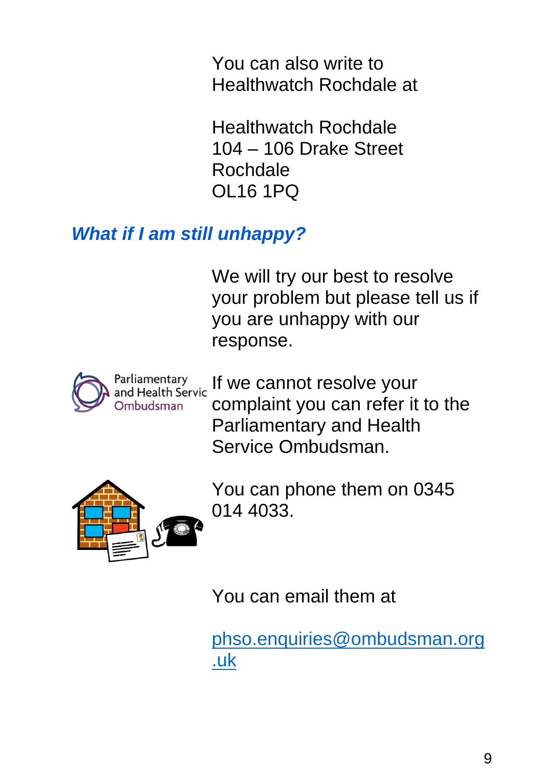You can also write to Healthwatch Rochdale at

Healthwatch Rochdale 104 – 106 Drake Street Rochdale OL16 1PQ

# *What if I am still unhappy?*

We will try our best to resolve your problem but please tell us if you are unhappy with our response.



[I](https://www.google.com/url?sa=i&rct=j&q=&esrc=s&source=images&cd=&ved=2ahUKEwjfr-DX3P3kAhWWDmMBHc9BA5cQjRx6BAgBEAQ&url=https://www.ombudsman.org.uk/making-complaint/before-you-come-to-us&psig=AOvVaw0k02VpYg4_o15qnsJJ9bgE&ust=1570110799428611)f we cannot resolve your complaint you can refer it to the Parliamentary and Health Service Ombudsman.



You can phone them on 0345 014 4033.

You can email them at

[phso.enquiries@ombudsman.org](mailto:phso.enquiries@ombudsman.org.uk) [.uk](mailto:phso.enquiries@ombudsman.org.uk)